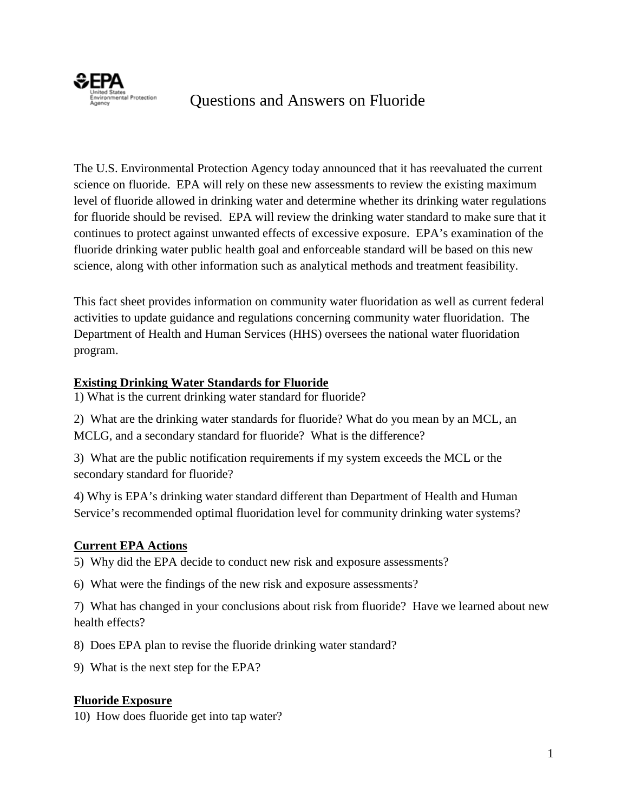

# Questions and Answers on Fluoride

 continues to protect against unwanted effects of excessive exposure. EPA's examination of the science, along with other information such as analytical methods and treatment feasibility. The U.S. Environmental Protection Agency today announced that it has reevaluated the current science on fluoride. EPA will rely on these new assessments to review the existing maximum level of fluoride allowed in drinking water and determine whether its drinking water regulations for fluoride should be revised. EPA will review the drinking water standard to make sure that it fluoride drinking water public health goal and enforceable standard will be based on this new

This fact sheet provides information on community water fluoridation as well as current federal activities to update guidance and regulations concerning community water fluoridation. The Department of Health and Human Services (HHS) oversees the national water fluoridation program.

#### **Existing Drinking Water Standards for Fluoride**

1) What is the current drinking water standard for fluoride?

 1) What is the current drinking water standard for fluoride? 2) What are the drinking water standards for fluoride? What do you mean by an MCL, an MCLG, and a secondary standard for fluoride? What is the difference?

secondary standard for fluoride? 3) What are the public notification requirements if my system exceeds the MCL or the

4) Why is EPA's drinking water standard different than Department of Health and Human Service's recommended optimal fluoridation level for community drinking water systems?

#### **Current EPA Actions**

5) Why did the EPA decide to conduct new risk and exposure assessments? 6) What were the findings of the new risk and exposure assessments?

 7) What has changed in your conclusions about risk from fluoride? Have we learned about new health effects?

8) Does EPA plan to revise the fluoride drinking water standard? 9) What is the next step for the EPA?

#### **Fluoride Exposure**

10) How does fluoride get into tap water?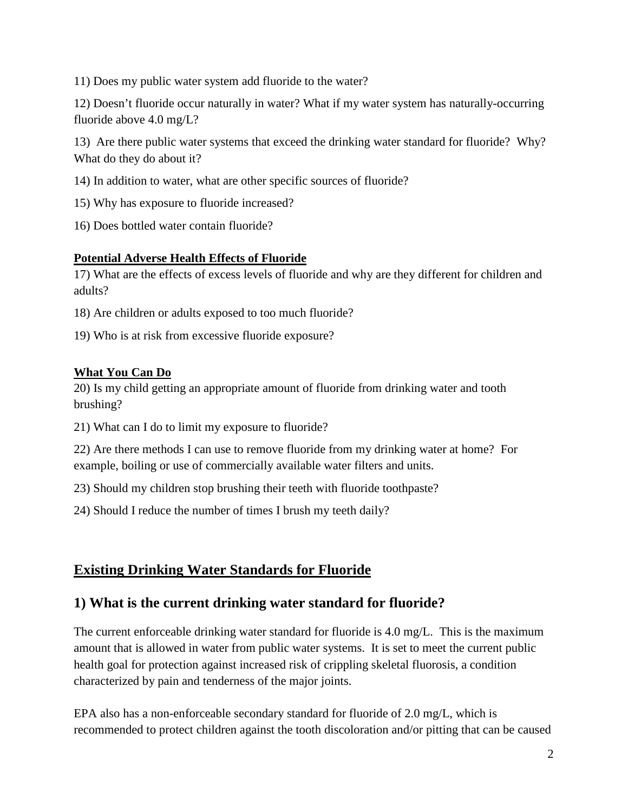11) Does my public water system add fluoride to the water?

 fluoride above 4.0 mg/L? 12) Doesn't fluoride occur naturally in water? What if my water system has naturally-occurring

 13) Are there public water systems that exceed the drinking water standard for fluoride? Why? What do they do about it?

- 14) In addition to water, what are other specific sources of fluoride?
- 15) Why has exposure to fluoride increased?
- 16) Does bottled water contain fluoride?

#### **Potential Adverse Health Effects of Fluoride**

 adults? 17) What are the effects of excess levels of fluoride and why are they different for children and

18) Are children or adults exposed to too much fluoride?

19) Who is at risk from excessive fluoride exposure?

#### **What You Can Do**

 20) Is my child getting an appropriate amount of fluoride from drinking water and tooth brushing?

21) What can I do to limit my exposure to fluoride?

 22) Are there methods I can use to remove fluoride from my drinking water at home? For example, boiling or use of commercially available water filters and units.

23) Should my children stop brushing their teeth with fluoride toothpaste?

24) Should I reduce the number of times I brush my teeth daily?

## **Existing Drinking Water Standards for Fluoride**

## **1) What is the current drinking water standard for fluoride?**

 amount that is allowed in water from public water systems. It is set to meet the current public The current enforceable drinking water standard for fluoride is 4.0 mg/L. This is the maximum health goal for protection against increased risk of crippling skeletal fluorosis, a condition characterized by pain and tenderness of the major joints.

EPA also has a non-enforceable secondary standard for fluoride of 2.0 mg/L, which is recommended to protect children against the tooth discoloration and/or pitting that can be caused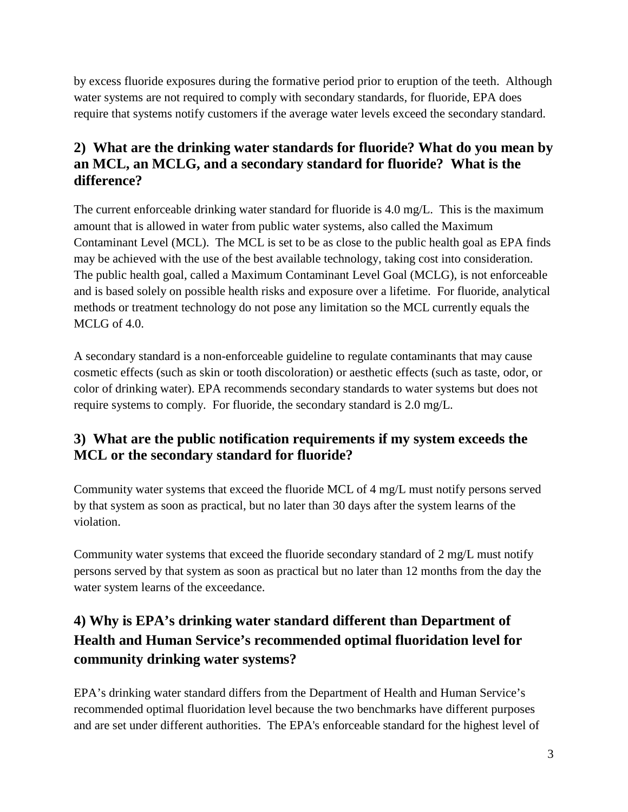by excess fluoride exposures during the formative period prior to eruption of the teeth. Although water systems are not required to comply with secondary standards, for fluoride, EPA does require that systems notify customers if the average water levels exceed the secondary standard.

## **2) What are the drinking water standards for fluoride? What do you mean by an MCL, an MCLG, and a secondary standard for fluoride? What is the difference?**

The current enforceable drinking water standard for fluoride is 4.0 mg/L. This is the maximum amount that is allowed in water from public water systems, also called the Maximum Contaminant Level (MCL). The MCL is set to be as close to the public health goal as EPA finds may be achieved with the use of the best available technology, taking cost into consideration. The public health goal, called a Maximum Contaminant Level Goal (MCLG), is not enforceable and is based solely on possible health risks and exposure over a lifetime. For fluoride, analytical methods or treatment technology do not pose any limitation so the MCL currently equals the MCLG of 4.0.

 A secondary standard is a non-enforceable guideline to regulate contaminants that may cause require systems to comply. For fluoride, the secondary standard is 2.0 mg/L. cosmetic effects (such as skin or tooth discoloration) or aesthetic effects (such as taste, odor, or color of drinking water). EPA recommends secondary standards to water systems but does not

## **3) What are the public notification requirements if my system exceeds the MCL or the secondary standard for fluoride?**

 by that system as soon as practical, but no later than 30 days after the system learns of the Community water systems that exceed the fluoride MCL of 4 mg/L must notify persons served violation.

Community water systems that exceed the fluoride secondary standard of 2 mg/L must notify persons served by that system as soon as practical but no later than 12 months from the day the water system learns of the exceedance.

# **Health and Human Service's recommended optimal fluoridation level for 4) Why is EPA's drinking water standard different than Department of community drinking water systems?**

EPA's drinking water standard differs from the Department of Health and Human Service's recommended optimal fluoridation level because the two benchmarks have different purposes and are set under different authorities. The EPA's enforceable standard for the highest level of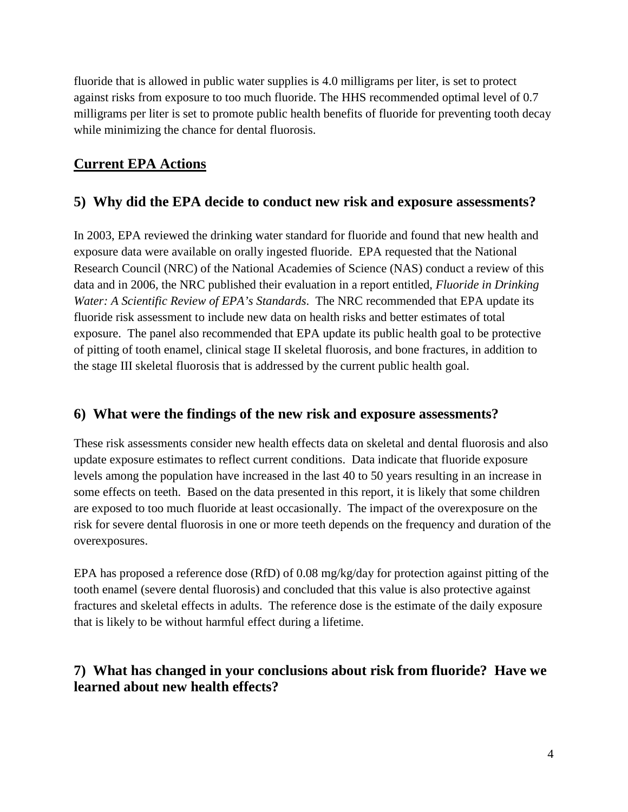fluoride that is allowed in public water supplies is 4.0 milligrams per liter, is set to protect against risks from exposure to too much fluoride. The HHS recommended optimal level of 0.7 milligrams per liter is set to promote public health benefits of fluoride for preventing tooth decay while minimizing the chance for dental fluorosis.

## **Current EPA Actions**

## **5) Why did the EPA decide to conduct new risk and exposure assessments?**

 of pitting of tooth enamel, clinical stage II skeletal fluorosis, and bone fractures, in addition to In 2003, EPA reviewed the drinking water standard for fluoride and found that new health and exposure data were available on orally ingested fluoride. EPA requested that the National Research Council (NRC) of the National Academies of Science (NAS) conduct a review of this data and in 2006, the NRC published their evaluation in a report entitled, *Fluoride in Drinking Water: A Scientific Review of EPA's Standards*. The NRC recommended that EPA update its fluoride risk assessment to include new data on health risks and better estimates of total exposure. The panel also recommended that EPA update its public health goal to be protective the stage III skeletal fluorosis that is addressed by the current public health goal.

#### **6) What were the findings of the new risk and exposure assessments?**

These risk assessments consider new health effects data on skeletal and dental fluorosis and also update exposure estimates to reflect current conditions. Data indicate that fluoride exposure levels among the population have increased in the last 40 to 50 years resulting in an increase in some effects on teeth. Based on the data presented in this report, it is likely that some children are exposed to too much fluoride at least occasionally. The impact of the overexposure on the risk for severe dental fluorosis in one or more teeth depends on the frequency and duration of the overexposures.

EPA has proposed a reference dose (RfD) of 0.08 mg/kg/day for protection against pitting of the tooth enamel (severe dental fluorosis) and concluded that this value is also protective against fractures and skeletal effects in adults. The reference dose is the estimate of the daily exposure that is likely to be without harmful effect during a lifetime.

## **7) What has changed in your conclusions about risk from fluoride? Have we learned about new health effects?**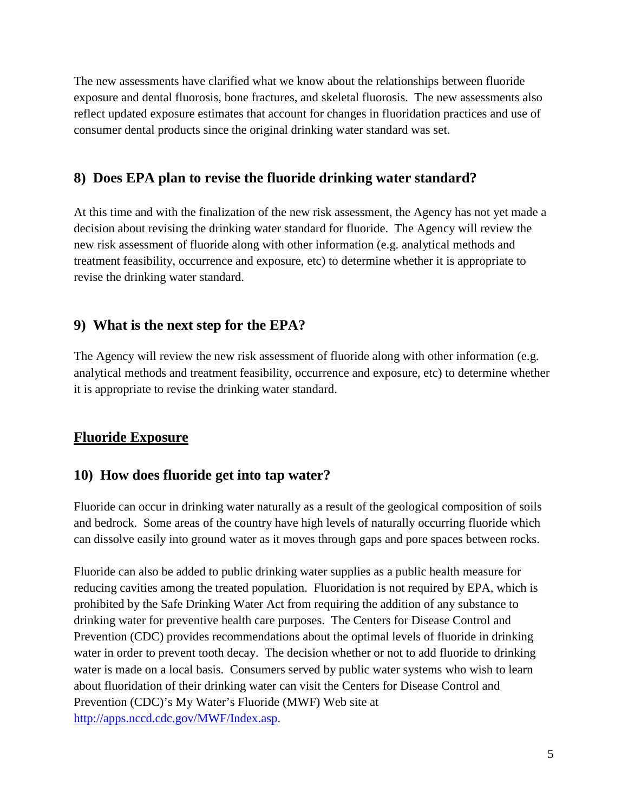reflect updated exposure estimates that account for changes in fluoridation practices and use of The new assessments have clarified what we know about the relationships between fluoride exposure and dental fluorosis, bone fractures, and skeletal fluorosis. The new assessments also consumer dental products since the original drinking water standard was set.

#### **8) Does EPA plan to revise the fluoride drinking water standard?**

 At this time and with the finalization of the new risk assessment, the Agency has not yet made a revise the drinking water standard. decision about revising the drinking water standard for fluoride. The Agency will review the new risk assessment of fluoride along with other information (e.g. analytical methods and treatment feasibility, occurrence and exposure, etc) to determine whether it is appropriate to

## **9) What is the next step for the EPA?**

The Agency will review the new risk assessment of fluoride along with other information (e.g. analytical methods and treatment feasibility, occurrence and exposure, etc) to determine whether it is appropriate to revise the drinking water standard.

#### **Fluoride Exposure**

#### **10) How does fluoride get into tap water?**

Fluoride can occur in drinking water naturally as a result of the geological composition of soils and bedrock. Some areas of the country have high levels of naturally occurring fluoride which can dissolve easily into ground water as it moves through gaps and pore spaces between rocks.

Fluoride can also be added to public drinking water supplies as a public health measure for reducing cavities among the treated population. Fluoridation is not required by EPA, which is prohibited by the Safe Drinking Water Act from requiring the addition of any substance to drinking water for preventive health care purposes. The Centers for Disease Control and Prevention (CDC) provides recommendations about the optimal levels of fluoride in drinking water in order to prevent tooth decay. The decision whether or not to add fluoride to drinking water is made on a local basis. Consumers served by public water systems who wish to learn about fluoridation of their drinking water can visit the Centers for Disease Control and Prevention (CDC)'s My Water's Fluoride (MWF) Web site at [http://apps.nccd.cdc.gov/MWF/Index.asp.](http://apps.nccd.cdc.gov/MWF/Index.asp)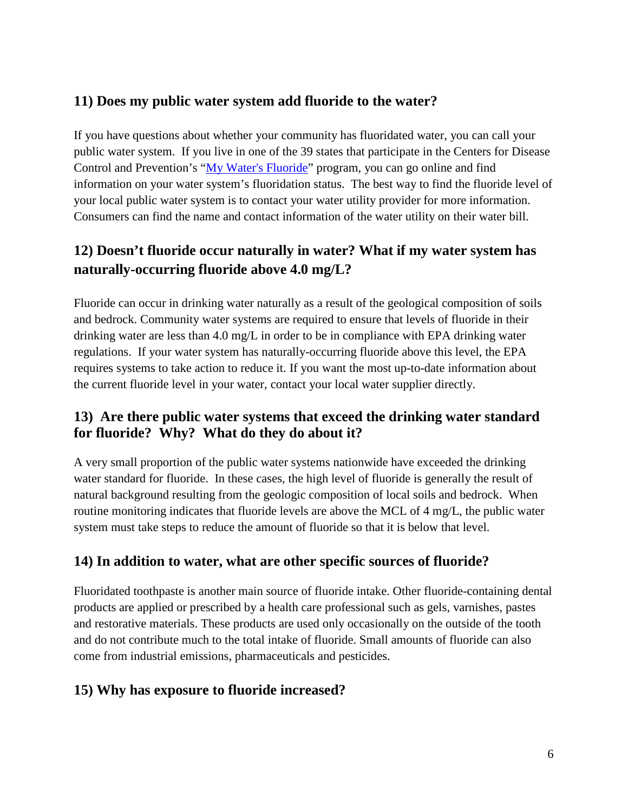## **11) Does my public water system add fluoride to the water?**

 If you have questions about whether your community has fluoridated water, you can call your public water system. If you live in one of the 39 states that participate in the Centers for Disease information on your water system's fluoridation status. The best way to find the fluoride level of your local public water system is to contact your water utility provider for more information. Consumers can find the name and contact information of the water utility on their water bill. Control and Prevention's ["My Water's Fluoride"](http://apps.nccd.cdc.gov/MWF/Index.asp) program, you can go online and find

# **12) Doesn't fluoride occur naturally in water? What if my water system has naturally-occurring fluoride above 4.0 mg/L?**

 Fluoride can occur in drinking water naturally as a result of the geological composition of soils regulations. If your water system has naturally-occurring fluoride above this level, the EPA and bedrock. Community water systems are required to ensure that levels of fluoride in their drinking water are less than 4.0 mg/L in order to be in compliance with EPA drinking water requires systems to take action to reduce it. If you want the most up-to-date information about the current fluoride level in your water, contact your local water supplier directly.

#### **13) Are there public water systems that exceed the drinking water standard for fluoride? Why? What do they do about it?**

 system must take steps to reduce the amount of fluoride so that it is below that level. A very small proportion of the public water systems nationwide have exceeded the drinking water standard for fluoride. In these cases, the high level of fluoride is generally the result of natural background resulting from the geologic composition of local soils and bedrock. When routine monitoring indicates that fluoride levels are above the MCL of 4 mg/L, the public water

## **14) In addition to water, what are other specific sources of fluoride?**

Fluoridated toothpaste is another main source of fluoride intake. Other fluoride-containing dental products are applied or prescribed by a health care professional such as gels, varnishes, pastes and restorative materials. These products are used only occasionally on the outside of the tooth and do not contribute much to the total intake of fluoride. Small amounts of fluoride can also come from industrial emissions, pharmaceuticals and pesticides.

#### **15) Why has exposure to fluoride increased?**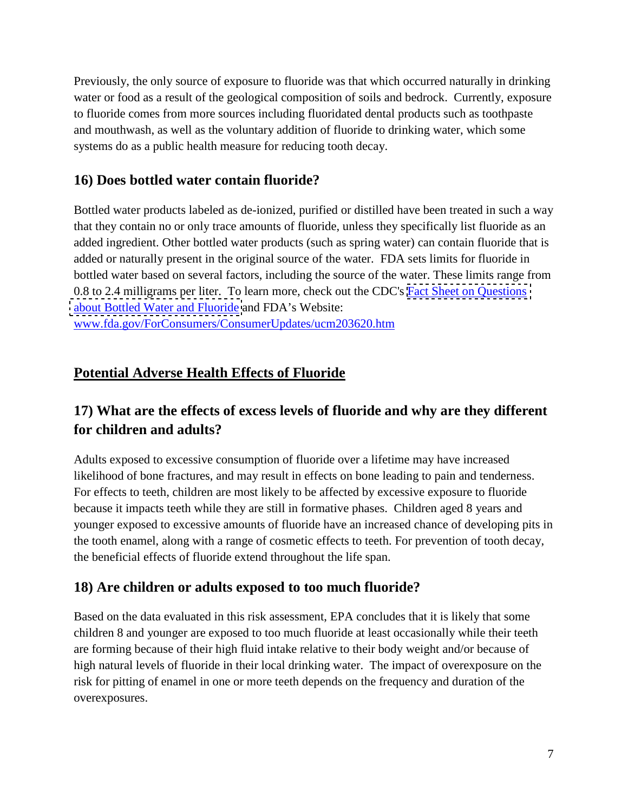water or food as a result of the geological composition of soils and bedrock. Currently, exposure systems do as a public health measure for reducing tooth decay. Previously, the only source of exposure to fluoride was that which occurred naturally in drinking to fluoride comes from more sources including fluoridated dental products such as toothpaste and mouthwash, as well as the voluntary addition of fluoride to drinking water, which some

## **16) Does bottled water contain fluoride?**

0.8 to 2.4 milligrams per liter. To learn more, check out the CDC's **Fact Sheet on Questions** Bottled water products labeled as de-ionized, purified or distilled have been treated in such a way that they contain no or only trace amounts of fluoride, unless they specifically list fluoride as an added ingredient. Other bottled water products (such as spring water) can contain fluoride that is added or naturally present in the original source of the water. FDA sets limits for fluoride in bottled water based on several factors, including the source of the water. These limits range from [about Bottled Water and Fluoride](http://www.cdc.gov/fluoridation/faqs/bottled_water.htm) and FDA's Website: [www.fda.gov/ForConsumers/ConsumerUpdates/ucm203620.htm](http://www.fda.gov/ForConsumers/ConsumerUpdates/ucm203620.htm) 

## **Potential Adverse Health Effects of Fluoride**

# **17) What are the effects of excess levels of fluoride and why are they different for children and adults?**

Adults exposed to excessive consumption of fluoride over a lifetime may have increased likelihood of bone fractures, and may result in effects on bone leading to pain and tenderness. For effects to teeth, children are most likely to be affected by excessive exposure to fluoride because it impacts teeth while they are still in formative phases. Children aged 8 years and younger exposed to excessive amounts of fluoride have an increased chance of developing pits in the tooth enamel, along with a range of cosmetic effects to teeth. For prevention of tooth decay, the beneficial effects of fluoride extend throughout the life span.

#### **18) Are children or adults exposed to too much fluoride?**

Based on the data evaluated in this risk assessment, EPA concludes that it is likely that some children 8 and younger are exposed to too much fluoride at least occasionally while their teeth are forming because of their high fluid intake relative to their body weight and/or because of high natural levels of fluoride in their local drinking water. The impact of overexposure on the risk for pitting of enamel in one or more teeth depends on the frequency and duration of the overexposures.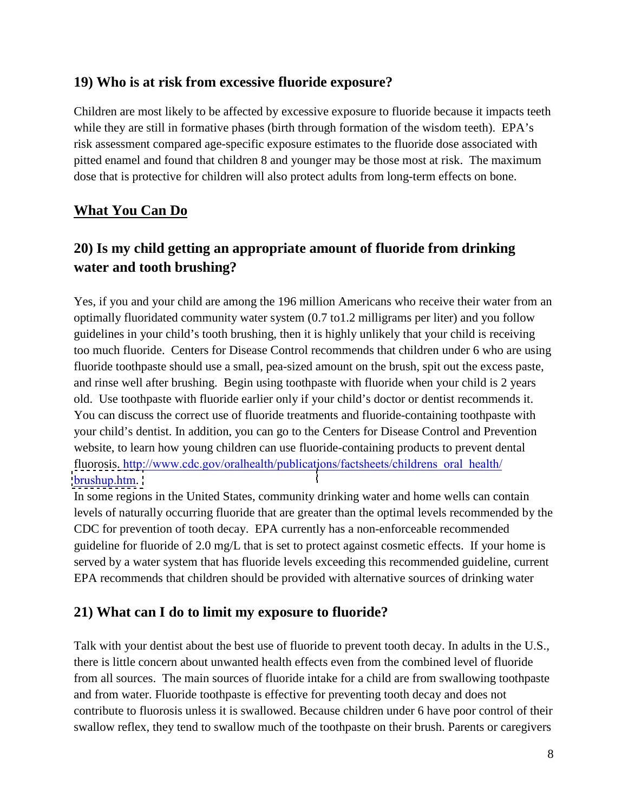#### **19) Who is at risk from excessive fluoride exposure?**

Children are most likely to be affected by excessive exposure to fluoride because it impacts teeth while they are still in formative phases (birth through formation of the wisdom teeth). EPA's risk assessment compared age-specific exposure estimates to the fluoride dose associated with pitted enamel and found that children 8 and younger may be those most at risk. The maximum dose that is protective for children will also protect adults from long-term effects on bone.

#### **What You Can Do**

# **20) Is my child getting an appropriate amount of fluoride from drinking water and tooth brushing?**

Yes, if you and your child are among the 196 million Americans who receive their water from an optimally fluoridated community water system (0.7 to1.2 milligrams per liter) and you follow guidelines in your child's tooth brushing, then it is highly unlikely that your child is receiving too much fluoride. Centers for Disease Control recommends that children under 6 who are using fluoride toothpaste should use a small, pea-sized amount on the brush, spit out the excess paste, and rinse well after brushing. Begin using toothpaste with fluoride when your child is 2 years old. Use toothpaste with fluoride earlier only if your child's doctor or dentist recommends it. You can discuss the correct use of fluoride treatments and fluoride-containing toothpaste with your child's dentist. In addition, you can go to the Centers for Disease Control and Prevention website, to learn how young children can use fluoride-containing products to prevent dental fluorosis. http://www.cdc.gov/oralhealth/publications/factsheets/childrens\_oral\_health/ [brushup.htm](http://www.cdc.gov/oralhealth/publications/factsheets/childrens_oral_health/brushup.htm).

 CDC for prevention of tooth decay. EPA currently has a non-enforceable recommended In some regions in the United States, community drinking water and home wells can contain levels of naturally occurring fluoride that are greater than the optimal levels recommended by the guideline for fluoride of 2.0 mg/L that is set to protect against cosmetic effects. If your home is served by a water system that has fluoride levels exceeding this recommended guideline, current EPA recommends that children should be provided with alternative sources of drinking water

#### **21) What can I do to limit my exposure to fluoride?**

Talk with your dentist about the best use of fluoride to prevent tooth decay. In adults in the U.S., there is little concern about unwanted health effects even from the combined level of fluoride from all sources. The main sources of fluoride intake for a child are from swallowing toothpaste and from water. Fluoride toothpaste is effective for preventing tooth decay and does not contribute to fluorosis unless it is swallowed. Because children under 6 have poor control of their swallow reflex, they tend to swallow much of the toothpaste on their brush. Parents or caregivers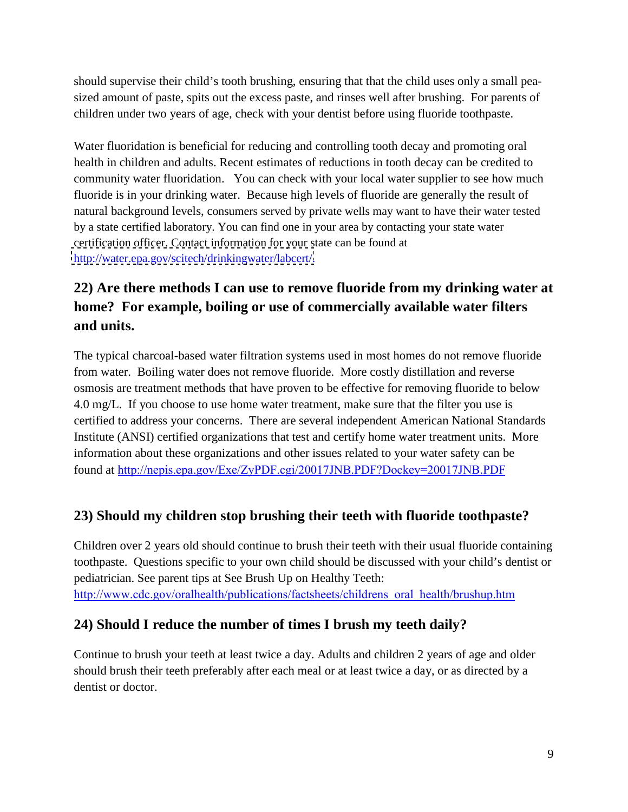should supervise their child's tooth brushing, ensuring that that the child uses only a small peasized amount of paste, spits out the excess paste, and rinses well after brushing. For parents of children under two years of age, check with your dentist before using fluoride toothpaste.

 Water fluoridation is beneficial for reducing and controlling tooth decay and promoting oral fluoride is in your drinking water. Because high levels of fluoride are generally the result of health in children and adults. Recent estimates of reductions in tooth decay can be credited to community water fluoridation. You can check with your local water supplier to see how much natural background levels, consumers served by private wells may want to have their water tested by a state certified laboratory. You can find one in your area by contacting your state water certification officer. Contact information for your state can be found at [http://water.epa.gov/scitech/drinkingwater/labcert/.](http://water.epa.gov/scitech/drinkingwater/labcert/)

# **22) Are there methods I can use to remove fluoride from my drinking water at home? For example, boiling or use of commercially available water filters and units.**

The typical charcoal-based water filtration systems used in most homes do not remove fluoride from water. Boiling water does not remove fluoride. More costly distillation and reverse osmosis are treatment methods that have proven to be effective for removing fluoride to below 4.0 mg/L. If you choose to use home water treatment, make sure that the filter you use is certified to address your concerns. There are several independent American National Standards Institute (ANSI) certified organizations that test and certify home water treatment units. More information about these organizations and other issues related to your water safety can be found at [http://nepis.epa.gov/Exe/ZyPDF.cgi/20017JNB.PDF?Dockey=20017JNB.PDF](http://water.epa.gov/aboutow/ogwdw/upload/2005_11_17_faq_fs_healthseries_filtration.pdf) 

## **23) Should my children stop brushing their teeth with fluoride toothpaste?**

Children over 2 years old should continue to brush their teeth with their usual fluoride containing toothpaste. Questions specific to your own child should be discussed with your child's dentist or pediatrician. See parent tips at See Brush Up on Healthy Teeth: [http://www.cdc.gov/oralhealth/publications/factsheets/childrens\\_oral\\_health/brushup.htm](http://www.cdc.gov/oralhealth/publications/factsheets/childrens_oral_health/brushup.htm) 

## **24) Should I reduce the number of times I brush my teeth daily?**

Continue to brush your teeth at least twice a day. Adults and children 2 years of age and older should brush their teeth preferably after each meal or at least twice a day, or as directed by a dentist or doctor.